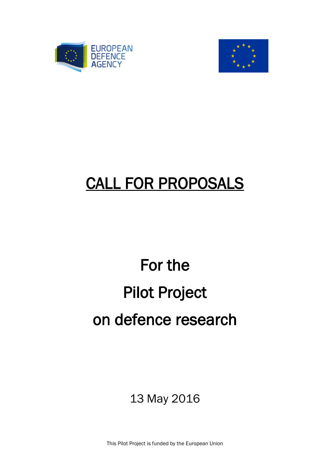



# CALL FOR PROPOSALS

# For the Pilot Project on defence research

13 May 2016

This Pilot Project is funded by the European Union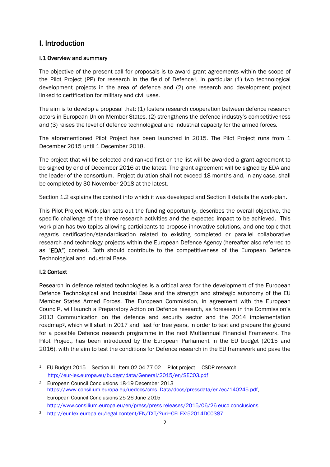# I. Introduction

### I.1 Overview and summary

The objective of the present call for proposals is to award grant agreements within the scope of the Pilot Project (PP) for research in the field of Defence1, in particular (1) two technological development projects in the area of defence and (2) one research and development project linked to certification for military and civil uses.

The aim is to develop a proposal that: (1) fosters research cooperation between defence research actors in European Union Member States, (2) strengthens the defence industry's competitiveness and (3) raises the level of defence technological and industrial capacity for the armed forces.

The aforementioned Pilot Project has been launched in 2015. The Pilot Project runs from 1 December 2015 until 1 December 2018.

The project that will be selected and ranked first on the list will be awarded a grant agreement to be signed by end of December 2016 at the latest. The grant agreement will be signed by EDA and the leader of the consortium. Project duration shall not exceed 18 months and, in any case, shall be completed by 30 November 2018 at the latest.

Section 1.2 explains the context into which it was developed and Section II details the work-plan.

This Pilot Project Work-plan sets out the funding opportunity, describes the overall objective, the specific challenge of the three research activities and the expected impact to be achieved. This work-plan has two topics allowing participants to propose innovative solutions, and one topic that regards certification/standardisation related to existing completed or parallel collaborative research and technology projects within the European Defence Agency (hereafter also referred to as "EDA") context. Both should contribute to the competitiveness of the European Defence Technological and Industrial Base.

# I.2 Context

Research in defence related technologies is a critical area for the development of the European Defence Technological and Industrial Base and the strength and strategic autonomy of the EU Member States Armed Forces. The European Commission, in agreement with the European Council2, will launch a Preparatory Action on Defence research, as foreseen in the Commission's 2013 Communication on the defence and security sector and the 2014 implementation roadmap<sup>3</sup>, which will start in 2017 and last for tree years, in order to test and prepare the ground for a possible Defence research programme in the next Multiannual Financial Framework. The Pilot Project, has been introduced by the European Parliament in the EU budget (2015 and 2016), with the aim to test the conditions for Defence research in the EU framework and pave the

**<sup>.</sup>** <sup>1</sup> EU Budget 2015 – Section III - Item 02 04 77 02 — Pilot project — CSDP research <http://eur-lex.europa.eu/budget/data/General/2015/en/SEC03.pdf>

<sup>2</sup> European Council Conclusions 18-19 December 2013 [https://www.consilium.europa.eu/uedocs/cms\\_Data/docs/pressdata/en/ec/140245.pdf,](https://www.consilium.europa.eu/uedocs/cms_Data/docs/pressdata/en/ec/140245.pdf) European Council Conclusions 25-26 June 2015 <http://www.consilium.europa.eu/en/press/press-releases/2015/06/26-euco-conclusions>

<sup>3</sup> <http://eur-lex.europa.eu/legal-content/EN/TXT/?uri=CELEX:52014DC0387>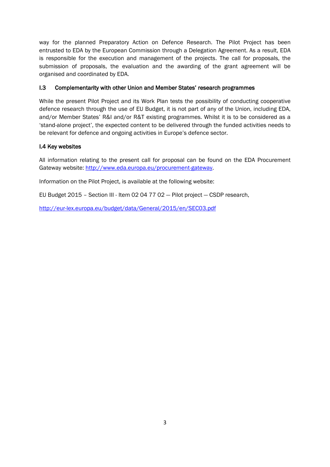way for the planned Preparatory Action on Defence Research. The Pilot Project has been entrusted to EDA by the European Commission through a Delegation Agreement. As a result, EDA is responsible for the execution and management of the projects. The call for proposals, the submission of proposals, the evaluation and the awarding of the grant agreement will be organised and coordinated by EDA.

#### I.3 Complementarity with other Union and Member States' research programmes

While the present Pilot Project and its Work Plan tests the possibility of conducting cooperative defence research through the use of EU Budget, it is not part of any of the Union, including EDA, and/or Member States' R&I and/or R&T existing programmes. Whilst it is to be considered as a 'stand-alone project', the expected content to be delivered through the funded activities needs to be relevant for defence and ongoing activities in Europe's defence sector.

#### I.4 Key websites

All information relating to the present call for proposal can be found on the EDA Procurement Gateway website: [http://www.eda.europa.eu/procurement-gateway.](http://www.eda.europa.eu/procurement-gateway)

Information on the Pilot Project, is available at the following website:

EU Budget 2015 – Section III - Item 02 04 77 02 — Pilot project — CSDP research,

<http://eur-lex.europa.eu/budget/data/General/2015/en/SEC03.pdf>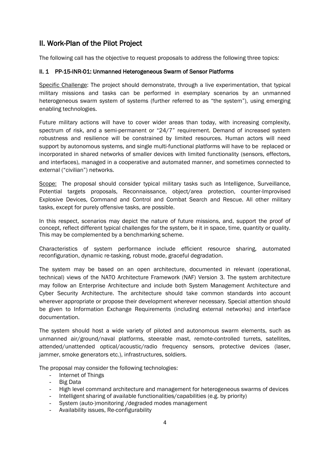# II. Work-Plan of the Pilot Project

The following call has the objective to request proposals to address the following three topics:

#### II. 1 PP-15-INR-01: Unmanned Heterogeneous Swarm of Sensor Platforms

Specific Challenge: The project should demonstrate, through a live experimentation, that typical military missions and tasks can be performed in exemplary scenarios by an unmanned heterogeneous swarm system of systems (further referred to as "the system"), using emerging enabling technologies.

Future military actions will have to cover wider areas than today, with increasing complexity, spectrum of risk, and a semi-permanent or "24/7" requirement. Demand of increased system robustness and resilience will be constrained by limited resources. Human actors will need support by autonomous systems, and single multi-functional platforms will have to be replaced or incorporated in shared networks of smaller devices with limited functionality (sensors, effectors, and interfaces), managed in a cooperative and automated manner, and sometimes connected to external ("civilian") networks.

Scope: The proposal should consider typical military tasks such as Intelligence, Surveillance, Potential targets proposals, Reconnaissance, object/area protection, counter-Improvised Explosive Devices, Command and Control and Combat Search and Rescue. All other military tasks, except for purely offensive tasks, are possible.

In this respect, scenarios may depict the nature of future missions, and, support the proof of concept, reflect different typical challenges for the system, be it in space, time, quantity or quality. This may be complemented by a benchmarking scheme.

Characteristics of system performance include efficient resource sharing, automated reconfiguration, dynamic re-tasking, robust mode, graceful degradation.

The system may be based on an open architecture, documented in relevant (operational, technical) views of the NATO Architecture Framework (NAF) Version 3. The system architecture may follow an Enterprise Architecture and include both System Management Architecture and Cyber Security Architecture. The architecture should take common standards into account wherever appropriate or propose their development wherever necessary. Special attention should be given to Information Exchange Requirements (including external networks) and interface documentation.

The system should host a wide variety of piloted and autonomous swarm elements, such as unmanned air/ground/naval platforms, steerable mast, remote-controlled turrets, satellites, attended/unattended optical/acoustic/radio frequency sensors, protective devices (laser, jammer, smoke generators etc.), infrastructures, soldiers.

The proposal may consider the following technologies:

- Internet of Things
- Big Data
- High level command architecture and management for heterogeneous swarms of devices
- Intelligent sharing of available functionalities/capabilities (e.g. by priority)
- System (auto-)monitoring /degraded modes management
- Availability issues, Re-configurability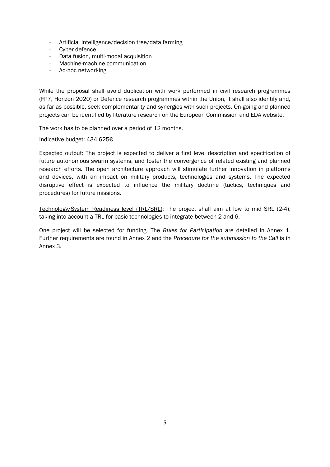- Artificial Intelligence/decision tree/data farming
- Cyber defence
- Data fusion, multi-modal acquisition
- Machine-machine communication
- Ad-hoc networking

While the proposal shall avoid duplication with work performed in civil research programmes (FP7, Horizon 2020) or Defence research programmes within the Union, it shall also identify and, as far as possible, seek complementarity and synergies with such projects. On-going and planned projects can be identified by literature research on the European Commission and EDA website.

The work has to be planned over a period of 12 months.

#### Indicative budget: 434.625€

Expected output: The project is expected to deliver a first level description and specification of future autonomous swarm systems, and foster the convergence of related existing and planned research efforts. The open architecture approach will stimulate further innovation in platforms and devices, with an impact on military products, technologies and systems. The expected disruptive effect is expected to influence the military doctrine (tactics, techniques and procedures) for future missions.

Technology/System Readiness level (TRL/SRL): The project shall aim at low to mid SRL (2-4), taking into account a TRL for basic technologies to integrate between 2 and 6.

One project will be selected for funding. The *Rules for Participation* are detailed in Annex 1. Further requirements are found in Annex 2 and the *Procedure for the submission to the Call* is in Annex 3.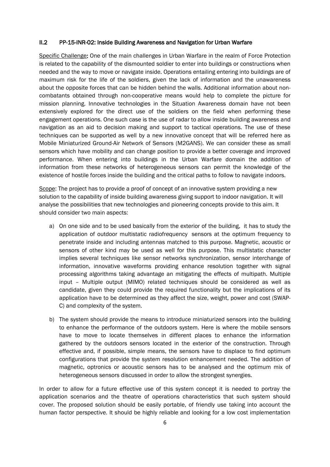#### II.2 PP-15-INR-02: Inside Building Awareness and Navigation for Urban Warfare

Specific Challenge: One of the main challenges in Urban Warfare in the realm of Force Protection is related to the capability of the dismounted soldier to enter into buildings or constructions when needed and the way to move or navigate inside. Operations entailing entering into buildings are of maximum risk for the life of the soldiers, given the lack of information and the unawareness about the opposite forces that can be hidden behind the walls. Additional information about noncombatants obtained through non-cooperative means would help to complete the picture for mission planning. Innovative technologies in the Situation Awareness domain have not been extensively explored for the direct use of the soldiers on the field when performing these engagement operations. One such case is the use of radar to allow inside building awareness and navigation as an aid to decision making and support to tactical operations. The use of these techniques can be supported as well by a new innovative concept that will be referred here as Mobile Miniaturized Ground-Air Network of Sensors (M2GANS). We can consider these as small sensors which have mobility and can change position to provide a better coverage and improved performance. When entering into buildings in the Urban Warfare domain the addition of information from these networks of heterogeneous sensors can permit the knowledge of the existence of hostile forces inside the building and the critical paths to follow to navigate indoors.

Scope: The project has to provide a proof of concept of an innovative system providing a new solution to the capability of inside building awareness giving support to indoor navigation. It will analyse the possibilities that new technologies and pioneering concepts provide to this aim. It should consider two main aspects:

- a) On one side and to be used basically from the exterior of the building, it has to study the application of outdoor multistatic radiofrequency sensors at the optimum frequency to penetrate inside and including antennas matched to this purpose. Magnetic, acoustic or sensors of other kind may be used as well for this purpose. This multistatic character implies several techniques like sensor networks synchronization, sensor interchange of information, innovative waveforms providing enhance resolution together with signal processing algorithms taking advantage an mitigating the effects of multipath. Multiple input – Multiple output (MIMO) related techniques should be considered as well as candidate, given they could provide the required functionality but the implications of its application have to be determined as they affect the size, weight, power and cost (SWAP-C) and complexity of the system.
- b) The system should provide the means to introduce miniaturized sensors into the building to enhance the performance of the outdoors system. Here is where the mobile sensors have to move to locate themselves in different places to enhance the information gathered by the outdoors sensors located in the exterior of the construction. Through effective and, if possible, simple means, the sensors have to displace to find optimum configurations that provide the system resolution enhancement needed. The addition of magnetic, optronics or acoustic sensors has to be analysed and the optimum mix of heterogeneous sensors discussed in order to allow the strongest synergies.

In order to allow for a future effective use of this system concept it is needed to portray the application scenarios and the theatre of operations characteristics that such system should cover. The proposed solution should be easily portable, of friendly use taking into account the human factor perspective. It should be highly reliable and looking for a low cost implementation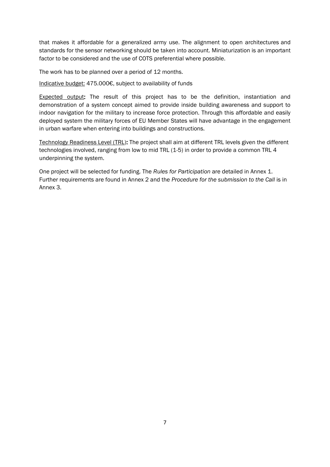that makes it affordable for a generalized army use. The alignment to open architectures and standards for the sensor networking should be taken into account. Miniaturization is an important factor to be considered and the use of COTS preferential where possible.

The work has to be planned over a period of 12 months.

Indicative budget: 475.000€, subject to availability of funds

Expected output: The result of this project has to be the definition, instantiation and demonstration of a system concept aimed to provide inside building awareness and support to indoor navigation for the military to increase force protection. Through this affordable and easily deployed system the military forces of EU Member States will have advantage in the engagement in urban warfare when entering into buildings and constructions.

Technology Readiness Level (TRL): The project shall aim at different TRL levels given the different technologies involved, ranging from low to mid TRL (1-5) in order to provide a common TRL 4 underpinning the system.

One project will be selected for funding. The *Rules for Participation* are detailed in Annex 1. Further requirements are found in Annex 2 and the *Procedure for the submission to the Call* is in Annex 3.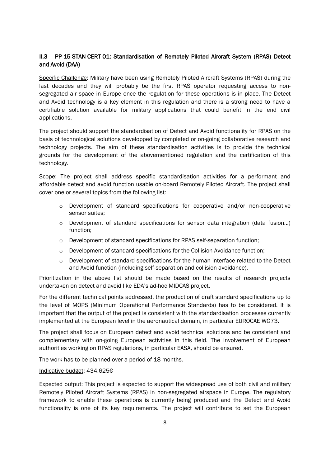### II.3 PP-15-STAN-CERT-01: Standardisation of Remotely Piloted Aircraft System (RPAS) Detect and Avoid (DAA)

Specific Challenge: Military have been using Remotely Piloted Aircraft Systems (RPAS) during the last decades and they will probably be the first RPAS operator requesting access to nonsegregated air space in Europe once the regulation for these operations is in place. The Detect and Avoid technology is a key element in this regulation and there is a strong need to have a certifiable solution available for military applications that could benefit in the end civil applications.

The project should support the standardisation of Detect and Avoid functionality for RPAS on the basis of technological solutions developped by completed or on-going collaborative research and technology projects. The aim of these standardisation activities is to provide the technical grounds for the development of the abovementioned regulation and the certification of this technology.

Scope: The project shall address specific standardisation activities for a performant and affordable detect and avoid function usable on-board Remotely Piloted Aircraft. The project shall cover one or several topics from the following list:

- o Development of standard specifications for cooperative and/or non-cooperative sensor suites;
- $\circ$  Development of standard specifications for sensor data integration (data fusion...) function;
- o Development of standard specifications for RPAS self-separation function;
- $\circ$  Development of standard specifications for the Collision Avoidance function:
- $\circ$  Development of standard specifications for the human interface related to the Detect and Avoid function (including self-separation and collision avoidance).

Prioritization in the above list should be made based on the results of research projects undertaken on detect and avoid like EDA's ad-hoc MIDCAS project.

For the different technical points addressed, the production of draft standard specifications up to the level of MOPS (Minimum Operational Performance Standards) has to be considered. It is important that the output of the project is consistent with the standardisation processes currently implemented at the European level in the aeronautical domain, in particular EUROCAE WG73.

The project shall focus on European detect and avoid technical solutions and be consistent and complementary with on-going European activities in this field. The involvement of European authorities working on RPAS regulations, in particular EASA, should be ensured.

The work has to be planned over a period of 18 months.

#### Indicative budget: 434.625€

Expected output: This project is expected to support the widespread use of both civil and military Remotely Piloted Aircraft Systems (RPAS) in non-segregated airspace in Europe. The regulatory framework to enable these operations is currently being produced and the Detect and Avoid functionality is one of its key requirements. The project will contribute to set the European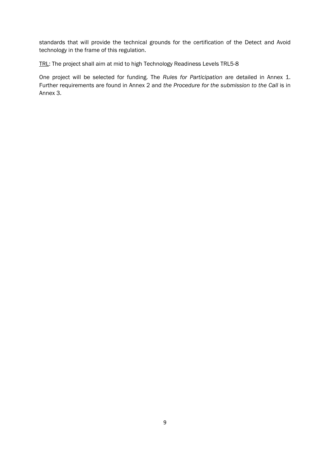standards that will provide the technical grounds for the certification of the Detect and Avoid technology in the frame of this regulation.

TRL: The project shall aim at mid to high Technology Readiness Levels TRL5-8

One project will be selected for funding. The *Rules for Participation* are detailed in Annex 1. Further requirements are found in Annex 2 and *the Procedure for the submission to the Call* is in Annex 3.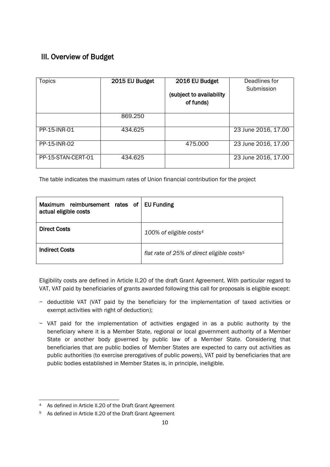# III. Overview of Budget

| <b>Topics</b>      | 2015 EU Budget | 2016 EU Budget           | Deadlines for       |
|--------------------|----------------|--------------------------|---------------------|
|                    |                |                          | Submission          |
|                    |                | (subject to availability |                     |
|                    |                | of funds)                |                     |
|                    |                |                          |                     |
|                    | 869.250        |                          |                     |
|                    |                |                          |                     |
| PP-15-INR-01       | 434.625        |                          | 23 June 2016, 17.00 |
|                    |                |                          |                     |
| PP-15-INR-02       |                | 475.000                  | 23 June 2016, 17.00 |
|                    |                |                          |                     |
| PP-15-STAN-CERT-01 | 434.625        |                          | 23 June 2016, 17.00 |
|                    |                |                          |                     |

The table indicates the maximum rates of Union financial contribution for the project

| Maximum reimbursement rates of<br>actual eligible costs | <b>EU Funding</b>                                      |
|---------------------------------------------------------|--------------------------------------------------------|
| <b>Direct Costs</b>                                     | 100% of eligible costs <sup>4</sup>                    |
| <b>Indirect Costs</b>                                   | flat rate of 25% of direct eligible costs <sup>5</sup> |

Eligibility costs are defined in Article II.20 of the draft Grant Agreement. With particular regard to VAT, VAT paid by beneficiaries of grants awarded following this call for proposals is eligible except:

- − deductible VAT (VAT paid by the beneficiary for the implementation of taxed activities or exempt activities with right of deduction);
- − VAT paid for the implementation of activities engaged in as a public authority by the beneficiary where it is a Member State, regional or local government authority of a Member State or another body governed by public law of a Member State. Considering that beneficiaries that are public bodies of Member States are expected to carry out activities as public authorities (to exercise prerogatives of public powers), VAT paid by beneficiaries that are public bodies established in Member States is, in principle, ineligible.

<sup>1</sup> <sup>4</sup> As defined in Article II.20 of the Draft Grant Agreement

<sup>5</sup> As defined in Article II.20 of the Draft Grant Agreement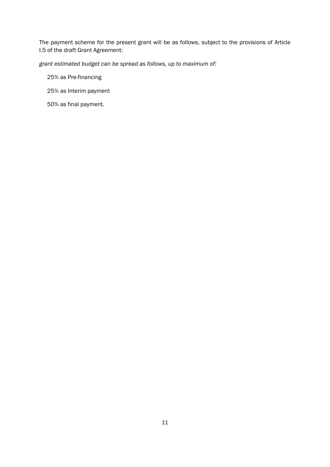The payment scheme for the present grant will be as follows, subject to the provisions of Article I.5 of the draft Grant Agreement:

*grant estimated budget can be spread as follows, up to maximum of:* 

25% as Pre-financing

- 25% as Interim payment
- 50% as final payment.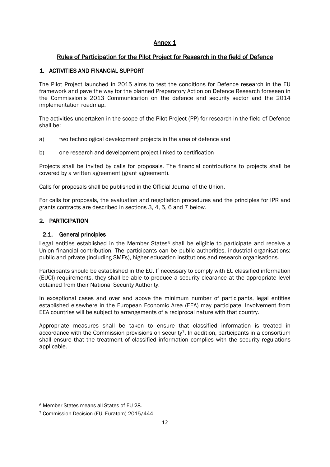# Annex 1

# Rules of Participation for the Pilot Project for Research in the field of Defence

#### 1. ACTIVITIES AND FINANCIAL SUPPORT

The Pilot Project launched in 2015 aims to test the conditions for Defence research in the EU framework and pave the way for the planned Preparatory Action on Defence Research foreseen in the Commission's 2013 Communication on the defence and security sector and the 2014 implementation roadmap.

The activities undertaken in the scope of the Pilot Project (PP) for research in the field of Defence shall be:

- a) two technological development projects in the area of defence and
- b) one research and development project linked to certification

Projects shall be invited by calls for proposals. The financial contributions to projects shall be covered by a written agreement (grant agreement).

Calls for proposals shall be published in the Official Journal of the Union.

For calls for proposals, the evaluation and negotiation procedures and the principles for IPR and grants contracts are described in sections 3, 4, 5, 6 and 7 below.

#### 2. PARTICIPATION

#### 2.1. General principles

Legal entities established in the Member States $6$  shall be eligible to participate and receive a Union financial contribution. The participants can be public authorities, industrial organisations: public and private (including SMEs), higher education institutions and research organisations.

Participants should be established in the EU. If necessary to comply with EU classified information (EUCI) requirements, they shall be able to produce a security clearance at the appropriate level obtained from their National Security Authority.

In exceptional cases and over and above the minimum number of participants, legal entities established elsewhere in the European Economic Area (EEA) may participate. Involvement from EEA countries will be subject to arrangements of a reciprocal nature with that country.

Appropriate measures shall be taken to ensure that classified information is treated in accordance with the Commission provisions on security7. In addition, participants in a consortium shall ensure that the treatment of classified information complies with the security regulations applicable.

1

<sup>6</sup> Member States means all States of EU-28.

<sup>7</sup> Commission Decision (EU, Euratom) 2015/444.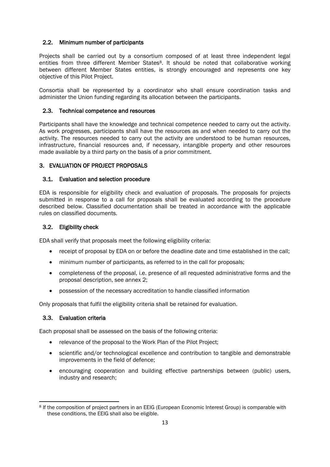#### 2.2. Minimum number of participants

Projects shall be carried out by a consortium composed of at least three independent legal entities from three different Member States<sup>8</sup>. It should be noted that collaborative working between different Member States entities, is strongly encouraged and represents one key objective of this Pilot Project.

Consortia shall be represented by a coordinator who shall ensure coordination tasks and administer the Union funding regarding its allocation between the participants.

#### 2.3. Technical competence and resources

Participants shall have the knowledge and technical competence needed to carry out the activity. As work progresses, participants shall have the resources as and when needed to carry out the activity. The resources needed to carry out the activity are understood to be human resources, infrastructure, financial resources and, if necessary, intangible property and other resources made available by a third party on the basis of a prior commitment.

#### 3. EVALUATION OF PROJECT PROPOSALS

#### 3.1. Evaluation and selection procedure

EDA is responsible for eligibility check and evaluation of proposals. The proposals for projects submitted in response to a call for proposals shall be evaluated according to the procedure described below. Classified documentation shall be treated in accordance with the applicable rules on classified documents.

#### 3.2. Eligibility check

EDA shall verify that proposals meet the following eligibility criteria:

- receipt of proposal by EDA on or before the deadline date and time established in the call;
- minimum number of participants, as referred to in the call for proposals;
- completeness of the proposal, i.e. presence of all requested administrative forms and the proposal description, see annex 2;
- possession of the necessary accreditation to handle classified information

Only proposals that fulfil the eligibility criteria shall be retained for evaluation.

#### 3.3. Evaluation criteria

Each proposal shall be assessed on the basis of the following criteria:

- relevance of the proposal to the Work Plan of the Pilot Project;
- scientific and/or technological excellence and contribution to tangible and demonstrable improvements in the field of defence;
- encouraging cooperation and building effective partnerships between (public) users, industry and research;

<sup>1</sup> <sup>8</sup> If the composition of project partners in an EEIG (European Economic Interest Group) is comparable with these conditions, the EEIG shall also be eligible.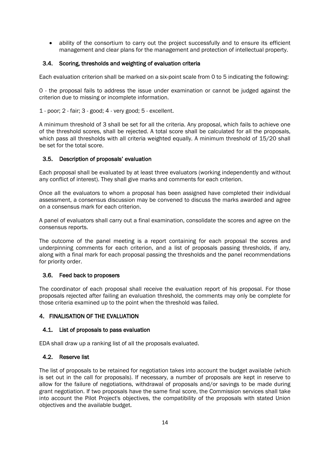ability of the consortium to carry out the project successfully and to ensure its efficient management and clear plans for the management and protection of intellectual property.

#### 3.4. Scoring, thresholds and weighting of evaluation criteria

Each evaluation criterion shall be marked on a six-point scale from 0 to 5 indicating the following:

0 - the proposal fails to address the issue under examination or cannot be judged against the criterion due to missing or incomplete information.

1 - poor; 2 - fair; 3 - good; 4 - very good; 5 - excellent.

A minimum threshold of 3 shall be set for all the criteria. Any proposal, which fails to achieve one of the threshold scores, shall be rejected. A total score shall be calculated for all the proposals, which pass all thresholds with all criteria weighted equally. A minimum threshold of 15/20 shall be set for the total score.

#### 3.5. Description of proposals' evaluation

Each proposal shall be evaluated by at least three evaluators (working independently and without any conflict of interest). They shall give marks and comments for each criterion.

Once all the evaluators to whom a proposal has been assigned have completed their individual assessment, a consensus discussion may be convened to discuss the marks awarded and agree on a consensus mark for each criterion.

A panel of evaluators shall carry out a final examination, consolidate the scores and agree on the consensus reports.

The outcome of the panel meeting is a report containing for each proposal the scores and underpinning comments for each criterion, and a list of proposals passing thresholds, if any, along with a final mark for each proposal passing the thresholds and the panel recommendations for priority order.

#### 3.6. Feed back to proposers

The coordinator of each proposal shall receive the evaluation report of his proposal. For those proposals rejected after failing an evaluation threshold, the comments may only be complete for those criteria examined up to the point when the threshold was failed.

#### 4. FINALISATION OF THE EVALUATION

#### 4.1. List of proposals to pass evaluation

EDA shall draw up a ranking list of all the proposals evaluated.

#### 4.2. Reserve list

The list of proposals to be retained for negotiation takes into account the budget available (which is set out in the call for proposals). If necessary, a number of proposals are kept in reserve to allow for the failure of negotiations, withdrawal of proposals and/or savings to be made during grant negotiation. If two proposals have the same final score, the Commission services shall take into account the Pilot Project's objectives, the compatibility of the proposals with stated Union objectives and the available budget.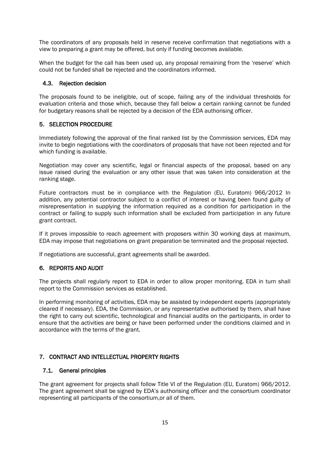The coordinators of any proposals held in reserve receive confirmation that negotiations with a view to preparing a grant may be offered, but only if funding becomes available.

When the budget for the call has been used up, any proposal remaining from the 'reserve' which could not be funded shall be rejected and the coordinators informed.

#### 4.3. Rejection decision

The proposals found to be ineligible, out of scope, failing any of the individual thresholds for evaluation criteria and those which, because they fall below a certain ranking cannot be funded for budgetary reasons shall be rejected by a decision of the EDA authorising officer.

#### 5. SELECTION PROCEDURE

Immediately following the approval of the final ranked list by the Commission services, EDA may invite to begin negotiations with the coordinators of proposals that have not been rejected and for which funding is available.

Negotiation may cover any scientific, legal or financial aspects of the proposal, based on any issue raised during the evaluation or any other issue that was taken into consideration at the ranking stage.

Future contractors must be in compliance with the Regulation (EU, Euratom) 966/2012 In addition, any potential contractor subject to a conflict of interest or having been found guilty of misrepresentation in supplying the information required as a condition for participation in the contract or failing to supply such information shall be excluded from participation in any future grant contract.

If it proves impossible to reach agreement with proposers within 30 working days at maximum, EDA may impose that negotiations on grant preparation be terminated and the proposal rejected.

If negotiations are successful, grant agreements shall be awarded.

#### 6. REPORTS AND AUDIT

The projects shall regularly report to EDA in order to allow proper monitoring. EDA in turn shall report to the Commission services as established.

In performing monitoring of activities, EDA may be assisted by independent experts (appropriately cleared if necessary). EDA, the Commission, or any representative authorised by them, shall have the right to carry out scientific, technological and financial audits on the participants, in order to ensure that the activities are being or have been performed under the conditions claimed and in accordance with the terms of the grant.

#### 7. CONTRACT AND INTELLECTUAL PROPERTY RIGHTS

#### 7.1. General principles

The grant agreement for projects shall follow Title VI of the Regulation (EU, Euratom) 966/2012. The grant agreement shall be signed by EDA's authorising officer and the consortium coordinator representing all participants of the consortium,or all of them.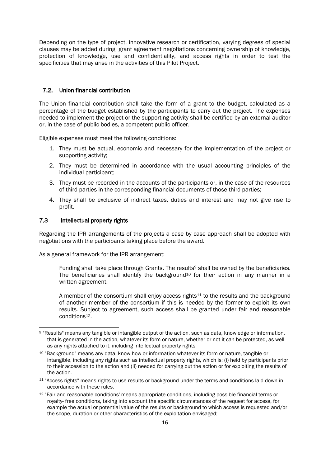Depending on the type of project, innovative research or certification, varying degrees of special clauses may be added during grant agreement negotiations concerning ownership of knowledge, protection of knowledge, use and confidentiality, and access rights in order to test the specificities that may arise in the activities of this Pilot Project.

#### 7.2. Union financial contribution

The Union financial contribution shall take the form of a grant to the budget, calculated as a percentage of the budget established by the participants to carry out the project. The expenses needed to implement the project or the supporting activity shall be certified by an external auditor or, in the case of public bodies, a competent public officer.

Eligible expenses must meet the following conditions:

- 1. They must be actual, economic and necessary for the implementation of the project or supporting activity;
- 2. They must be determined in accordance with the usual accounting principles of the individual participant;
- 3. They must be recorded in the accounts of the participants or, in the case of the resources of third parties in the corresponding financial documents of those third parties;
- 4. They shall be exclusive of indirect taxes, duties and interest and may not give rise to profit.

#### 7.3 Intellectual property rights

Regarding the IPR arrangements of the projects a case by case approach shall be adopted with negotiations with the participants taking place before the award.

As a general framework for the IPR arrangement:

Funding shall take place through Grants. The results<sup>9</sup> shall be owned by the beneficiaries. The beneficiaries shall identify the background<sup>10</sup> for their action in any manner in a written agreement.

A member of the consortium shall enjoy access rights<sup>11</sup> to the results and the background of another member of the consortium if this is needed by the former to exploit its own results. Subject to agreement, such access shall be granted under fair and reasonable conditions12.

**<sup>.</sup>** <sup>9</sup> "Results" means any tangible or intangible output of the action, such as data, knowledge or information, that is generated in the action, whatever its form or nature, whether or not it can be protected, as well as any rights attached to it, including intellectual property rights

<sup>10</sup> "Background" means any data, know-how or information whatever its form or nature, tangible or intangible, including any rights such as intellectual property rights, which is: (i) held by participants prior to their accession to the action and (ii) needed for carrying out the action or for exploiting the results of the action.

<sup>11</sup> "Access rights" means rights to use results or background under the terms and conditions laid down in accordance with these rules.

<sup>12 &</sup>quot;Fair and reasonable conditions' means appropriate conditions, including possible financial terms or royalty- free conditions, taking into account the specific circumstances of the request for access, for example the actual or potential value of the results or background to which access is requested and/or the scope, duration or other characteristics of the exploitation envisaged;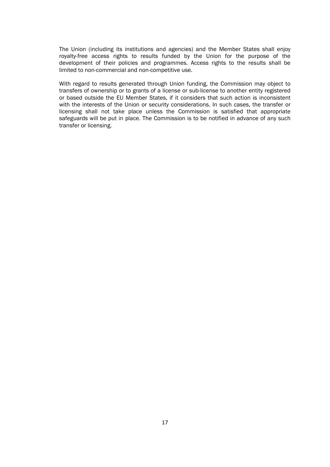The Union (including its institutions and agencies) and the Member States shall enjoy royalty-free access rights to results funded by the Union for the purpose of the development of their policies and programmes. Access rights to the results shall be limited to non-commercial and non-competitive use.

With regard to results generated through Union funding, the Commission may object to transfers of ownership or to grants of a license or sub-license to another entity registered or based outside the EU Member States, if it considers that such action is inconsistent with the interests of the Union or security considerations. In such cases, the transfer or licensing shall not take place unless the Commission is satisfied that appropriate safeguards will be put in place. The Commission is to be notified in advance of any such transfer or licensing.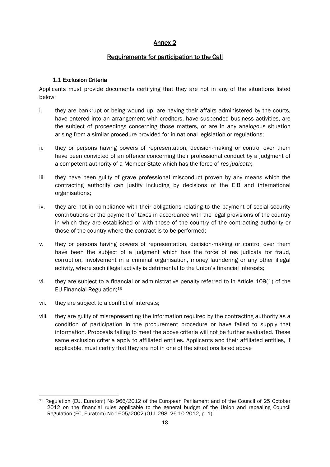# Annex 2

# Requirements for participation to the Call

#### 1.1 Exclusion Criteria

Applicants must provide documents certifying that they are not in any of the situations listed below:

- i. they are bankrupt or being wound up, are having their affairs administered by the courts, have entered into an arrangement with creditors, have suspended business activities, are the subject of proceedings concerning those matters, or are in any analogous situation arising from a similar procedure provided for in national legislation or regulations;
- ii. they or persons having powers of representation, decision-making or control over them have been convicted of an offence concerning their professional conduct by a judgment of a competent authority of a Member State which has the force of *res judicata*;
- iii. they have been guilty of grave professional misconduct proven by any means which the contracting authority can justify including by decisions of the EIB and international organisations;
- iv. they are not in compliance with their obligations relating to the payment of social security contributions or the payment of taxes in accordance with the legal provisions of the country in which they are established or with those of the country of the contracting authority or those of the country where the contract is to be performed;
- v. they or persons having powers of representation, decision-making or control over them have been the subject of a judgment which has the force of res judicata for fraud, corruption, involvement in a criminal organisation, money laundering or any other illegal activity, where such illegal activity is detrimental to the Union's financial interests;
- vi. they are subject to a financial or administrative penalty referred to in Article 109(1) of the EU Financial Regulation;<sup>13</sup>
- vii. they are subject to a conflict of interests;
- viii. they are guilty of misrepresenting the information required by the contracting authority as a condition of participation in the procurement procedure or have failed to supply that information. Proposals failing to meet the above criteria will not be further evaluated. These same exclusion criteria apply to affiliated entities. Applicants and their affiliated entities, if applicable, must certify that they are not in one of the situations listed above

**<sup>.</sup>** <sup>13</sup> Regulation (EU, Euratom) No 966/2012 of the European Parliament and of the Council of 25 October 2012 on the financial rules applicable to the general budget of the Union and repealing Council Regulation (EC, Euratom) No 1605/2002 (OJ L 298, 26.10.2012, p. 1)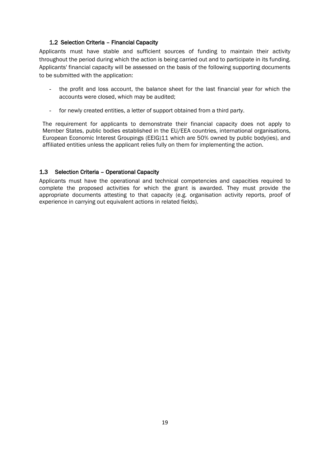#### 1.2 Selection Criteria – Financial Capacity

Applicants must have stable and sufficient sources of funding to maintain their activity throughout the period during which the action is being carried out and to participate in its funding. Applicants' financial capacity will be assessed on the basis of the following supporting documents to be submitted with the application:

- the profit and loss account, the balance sheet for the last financial year for which the accounts were closed, which may be audited;
- for newly created entities, a letter of support obtained from a third party.

The requirement for applicants to demonstrate their financial capacity does not apply to Member States, public bodies established in the EU/EEA countries, international organisations, European Economic Interest Groupings (EEIG)11 which are 50% owned by public body(ies), and affiliated entities unless the applicant relies fully on them for implementing the action.

#### 1.3 Selection Criteria – Operational Capacity

Applicants must have the operational and technical competencies and capacities required to complete the proposed activities for which the grant is awarded. They must provide the appropriate documents attesting to that capacity (e.g. organisation activity reports, proof of experience in carrying out equivalent actions in related fields).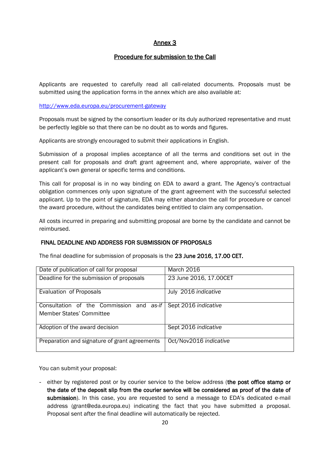# Annex 3

# Procedure for submission to the Call

Applicants are requested to carefully read all call-related documents. Proposals must be submitted using the application forms in the annex which are also available at:

<http://www.eda.europa.eu/procurement-gateway>

Proposals must be signed by the consortium leader or its duly authorized representative and must be perfectly legible so that there can be no doubt as to words and figures.

Applicants are strongly encouraged to submit their applications in English.

Submission of a proposal implies acceptance of all the terms and conditions set out in the present call for proposals and draft grant agreement and, where appropriate, waiver of the applicant's own general or specific terms and conditions.

This call for proposal is in no way binding on EDA to award a grant. The Agency's contractual obligation commences only upon signature of the grant agreement with the successful selected applicant. Up to the point of signature, EDA may either abandon the call for procedure or cancel the award procedure, without the candidates being entitled to claim any compensation.

All costs incurred in preparing and submitting proposal are borne by the candidate and cannot be reimbursed.

#### FINAL DEADLINE AND ADDRESS FOR SUBMISSION OF PROPOSALS

The final deadline for submission of proposals is the 23 June 2016, 17.00 CET.

| Date of publication of call for proposal      | <b>March 2016</b>      |
|-----------------------------------------------|------------------------|
| Deadline for the submission of proposals      | 23 June 2016, 17.00CET |
| Evaluation of Proposals                       | July 2016 indicative   |
| Consultation of the Commission and as-if      | Sept 2016 indicative   |
| <b>Member States' Committee</b>               |                        |
| Adoption of the award decision                | Sept 2016 indicative   |
| Preparation and signature of grant agreements | Oct/Nov2016 indicative |

You can submit your proposal:

- either by registered post or by courier service to the below address (the post office stamp or the date of the deposit slip from the courier service will be considered as proof of the date of submission). In this case, you are requested to send a message to EDA's dedicated e-mail address (grant@eda.europa.eu) indicating the fact that you have submitted a proposal. Proposal sent after the final deadline will automatically be rejected.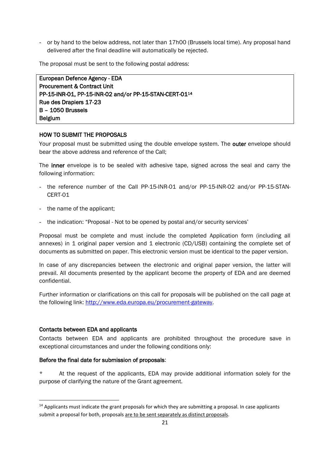- or by hand to the below address, not later than 17h00 (Brussels local time). Any proposal hand delivered after the final deadline will automatically be rejected.

The proposal must be sent to the following postal address:

European Defence Agency - EDA Procurement & Contract Unit PP-15-INR-01, PP-15-INR-02 and/or PP-15-STAN-CERT-01<sup>14</sup> Rue des Drapiers 17-23 B – 1050 Brussels Belgium

#### HOW TO SUBMIT THE PROPOSALS

Your proposal must be submitted using the double envelope system. The outer envelope should bear the above address and reference of the Call;

The inner envelope is to be sealed with adhesive tape, signed across the seal and carry the following information:

- the reference number of the Call PP-15-INR-01 and/or PP-15-INR-02 and/or PP-15-STAN-CERT-01
- the name of the applicant;
- the indication: "Proposal Not to be opened by postal and/or security services'

Proposal must be complete and must include the completed Application form (including all annexes) in 1 original paper version and 1 electronic (CD/USB) containing the complete set of documents as submitted on paper. This electronic version must be identical to the paper version.

In case of any discrepancies between the electronic and original paper version, the latter will prevail. All documents presented by the applicant become the property of EDA and are deemed confidential.

Further information or clarifications on this call for proposals will be published on the call page at the following link: [http://www.eda.europa.eu/procurement-gateway.](http://www.eda.europa.eu/procurement-gateway)

#### Contacts between EDA and applicants

**.** 

Contacts between EDA and applicants are prohibited throughout the procedure save in exceptional circumstances and under the following conditions only:

#### Before the final date for submission of proposals:

\* At the request of the applicants, EDA may provide additional information solely for the purpose of clarifying the nature of the Grant agreement.

 $14$  Applicants must indicate the grant proposals for which they are submitting a proposal. In case applicants submit a proposal for both, proposals are to be sent separately as distinct proposals.